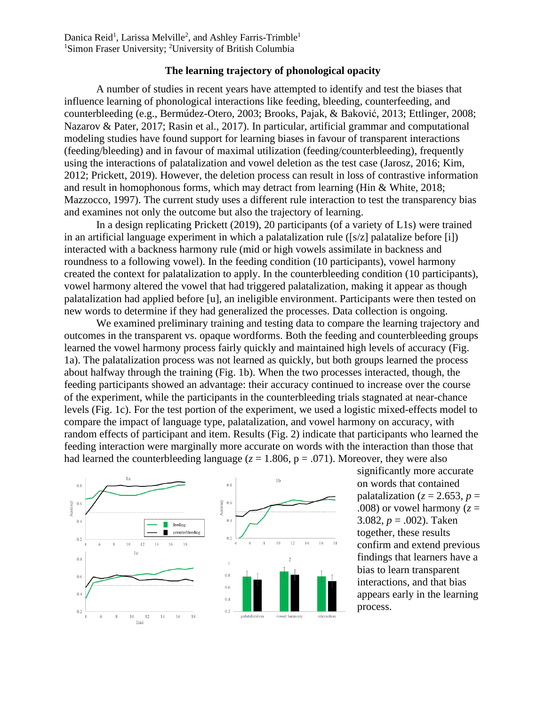Danica Reid<sup>1</sup>, Larissa Melville<sup>2</sup>, and Ashley Farris-Trimble<sup>1</sup> <sup>1</sup>Simon Fraser University; <sup>2</sup>University of British Columbia

## **The learning trajectory of phonological opacity**

A number of studies in recent years have attempted to identify and test the biases that influence learning of phonological interactions like feeding, bleeding, counterfeeding, and counterbleeding (e.g., Bermúdez-Otero, 2003; Brooks, Pajak, & Baković, 2013; Ettlinger, 2008; Nazarov & Pater, 2017; Rasin et al., 2017). In particular, artificial grammar and computational modeling studies have found support for learning biases in favour of transparent interactions (feeding/bleeding) and in favour of maximal utilization (feeding/counterbleeding), frequently using the interactions of palatalization and vowel deletion as the test case (Jarosz, 2016; Kim, 2012; Prickett, 2019). However, the deletion process can result in loss of contrastive information and result in homophonous forms, which may detract from learning (Hin & White, 2018; Mazzocco, 1997). The current study uses a different rule interaction to test the transparency bias and examines not only the outcome but also the trajectory of learning.

In a design replicating Prickett (2019), 20 participants (of a variety of L1s) were trained in an artificial language experiment in which a palatalization rule ([s/z] palatalize before [i]) interacted with a backness harmony rule (mid or high vowels assimilate in backness and roundness to a following vowel). In the feeding condition (10 participants), vowel harmony created the context for palatalization to apply. In the counterbleeding condition (10 participants), vowel harmony altered the vowel that had triggered palatalization, making it appear as though palatalization had applied before [u], an ineligible environment. Participants were then tested on new words to determine if they had generalized the processes. Data collection is ongoing.

We examined preliminary training and testing data to compare the learning trajectory and outcomes in the transparent vs. opaque wordforms. Both the feeding and counterbleeding groups learned the vowel harmony process fairly quickly and maintained high levels of accuracy (Fig. 1a). The palatalization process was not learned as quickly, but both groups learned the process about halfway through the training (Fig. 1b). When the two processes interacted, though, the feeding participants showed an advantage: their accuracy continued to increase over the course of the experiment, while the participants in the counterbleeding trials stagnated at near-chance levels (Fig. 1c). For the test portion of the experiment, we used a logistic mixed-effects model to compare the impact of language type, palatalization, and vowel harmony on accuracy, with random effects of participant and item. Results (Fig. 2) indicate that participants who learned the feeding interaction were marginally more accurate on words with the interaction than those that had learned the counterbleeding language ( $z = 1.806$ ,  $p = .071$ ). Moreover, they were also



significantly more accurate on words that contained palatalization ( $z = 2.653$ ,  $p =$ .008) or vowel harmony  $(z =$ 3.082, *p* = .002). Taken together, these results confirm and extend previous findings that learners have a bias to learn transparent interactions, and that bias appears early in the learning process.